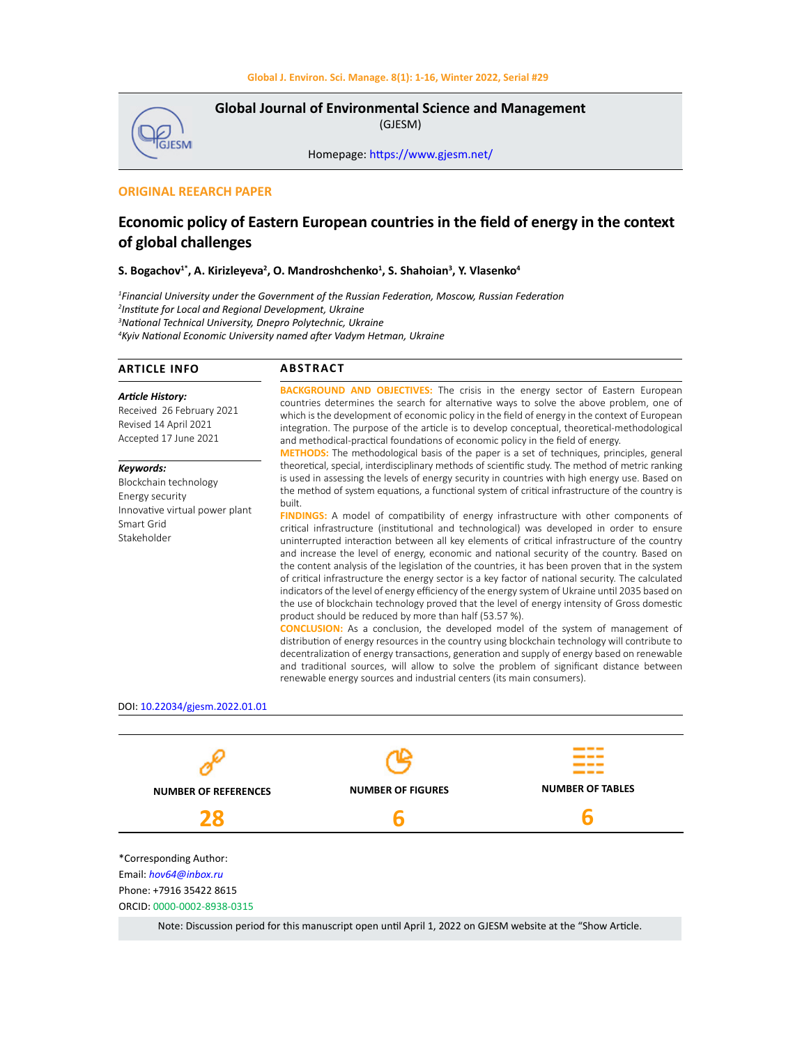

**Global Journal of Environmental Science and Management**  (GJESM)

Homepage: [https://www.gjesm.net/](https://www.gjesm.net/ )

## **ORIGINAL REEARCH PAPER**

# **Economic policy of Eastern European countries in the field of energy in the context of global challenges**

### $S$ . Bogachov<sup>1\*</sup>, A. Kirizleyeva<sup>2</sup>, O. Mandroshchenko<sup>1</sup>, S. Shahoian<sup>3</sup>, Y. Vlasenko<sup>4</sup>

 *Financial University under the Government of the Russian Federation, Moscow, Russian Federation Institute for Local and Regional Development, Ukraine National Technical University, Dnepro Polytechnic, Ukraine Kyiv National Economic University named after Vadym Hetman, Ukraine*

| ARTICLE INFO                                                           | <b>ABSTRACT</b>                                                                                                                                                                                                                                                                                                                                                                   |
|------------------------------------------------------------------------|-----------------------------------------------------------------------------------------------------------------------------------------------------------------------------------------------------------------------------------------------------------------------------------------------------------------------------------------------------------------------------------|
| Article History:<br>Received 26 February 2021<br>Revised 14 April 2021 | <b>BACKGROUND AND OBJECTIVES:</b> The crisis in the energy sector of Eastern European<br>countries determines the search for alternative ways to solve the above problem, one of<br>which is the development of economic policy in the field of energy in the context of European<br>integration. The purpose of the article is to develop conceptual, theoretical-methodological |

Received 26 February 2021 Revised 14 April 2021 Accepted 17 June 2021

*Keywords:* Blockchain technology Energy security Innovative virtual power plant Smart Grid Stakeholder

and methodical-practical foundations of economic policy in the field of energy. **METHODS:** The methodological basis of the paper is a set of techniques, principles, general theoretical, special, interdisciplinary methods of scientific study. The method of metric ranking is used in assessing the levels of energy security in countries with high energy use. Based on the method of system equations, a functional system of critical infrastructure of the country is built.

**FINDINGS:** A model of compatibility of energy infrastructure with other components of critical infrastructure (institutional and technological) was developed in order to ensure uninterrupted interaction between all key elements of critical infrastructure of the country and increase the level of energy, economic and national security of the country. Based on the content analysis of the legislation of the countries, it has been proven that in the system of critical infrastructure the energy sector is a key factor of national security. The calculated indicators of the level of energy efficiency of the energy system of Ukraine until 2035 based on the use of blockchain technology proved that the level of energy intensity of Gross domestic product should be reduced by more than half (53.57 %).

**CONCLUSION:** As a conclusion, the developed model of the system of management of distribution of energy resources in the country using blockchain technology will contribute to decentralization of energy transactions, generation and supply of energy based on renewable and traditional sources, will allow to solve the problem of significant distance between renewable energy sources and industrial centers (its main consumers).

#### DOI: 10.22034/gjesm.2022.01.01



Note: Discussion period for this manuscript open until April 1, 2022 on GJESM website at the "Show Article.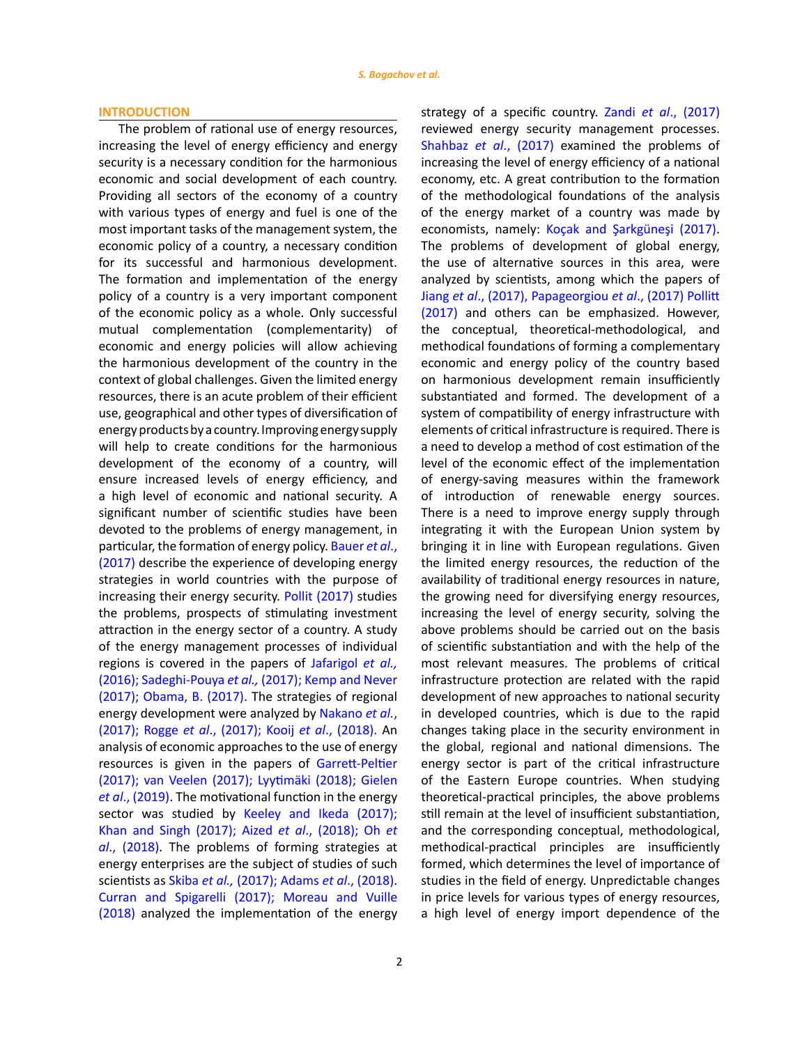#### **INTRODUCTION**

The problem of rational use of energy resources, increasing the level of energy efficiency and energy security is a necessary condition for the harmonious economic and social development of each country. Providing all sectors of the economy of a country with various types of energy and fuel is one of the most important tasks of the management system, the economic policy of a country, a necessary condition for its successful and harmonious development. The formation and implementation of the energy policy of a country is a very important component of the economic policy as a whole. Only successful mutual complementation (complementarity) of economic and energy policies will allow achieving the harmonious development of the country in the context of global challenges. Given the limited energy resources, there is an acute problem of their efficient use, geographical and other types of diversification of energy products by a country. Improving energy supply will help to create conditions for the harmonious development of the economy of a country, will ensure increased levels of energy efficiency, and a high level of economic and national security. A significant number of scientific studies have been devoted to the problems of energy management, in particular, the formation of energy policy. [Bauer](#page-14-0) *et al*., [\(2017\)](#page-14-0) describe the experience of developing energy strategies in world countries with the purpose of increasing their energy security. [Pollit \(2017\)](#page-14-0) studies the problems, prospects of stimulating investment attraction in the energy sector of a country. A study of the energy management processes of individual regions is covered in the papers of [Jafarigol](#page-14-0) *et al.,* (2016); Sadeghi-Pouya *et al.,* [\(2017\); Kemp and Never](#page-14-0)  [\(2017\); Obama, B. \(2017\)](#page-14-0). The strategies of regional energy development were analyzed by [Nakano](#page-14-0) *et al.*, (2017); Rogge *et al*[., \(2017\); Kooij](#page-14-0) *et al*., (2018). An analysis of economic approaches to the use of energy resources is given in the papers of [Garrett-Peltier](#page-14-0)  [\(2017\); van Veelen \(2017\); Lyytimäki \(2018\); Gielen](#page-14-0)  *et al*[., \(2019\).](#page-14-0) The motivational function in the energy sector was studied by Keeley and Ikeda (2017); [Khan and Singh \(2017\); Aized](#page-14-0) *et al*., (2018); Oh *et al*[., \(2018\)](#page-14-0). The problems of forming strategies at energy enterprises are the subject of studies of such scientists as Skiba *et al.,* [\(2017\); Adams](#page-14-0) *et al*., (2018). [Curran and Spigarelli \(2017\); Moreau and Vuille](#page-14-0)  [\(2018\)](#page-14-0) analyzed the implementation of the energy strategy of a specific country. Zandi *et al*[., \(2017\)](#page-14-0) reviewed energy security management processes. Shahbaz *et al*[., \(2017\)](#page-14-0) examined the problems of increasing the level of energy efficiency of a national economy, etc. A great contribution to the formation of the methodological foundations of the analysis of the energy market of a country was made by economists, namely: [Koçak and Şarkgüneşi \(2017\).](#page-14-0) The problems of development of global energy, the use of alternative sources in this area, were analyzed by scientists, among which the papers of Jiang *et al*[., \(2017\), Papageorgiou](#page-14-0) *et al*., (2017) Pollitt [\(2017\)](#page-14-0) and others can be emphasized. However, the conceptual, theoretical-methodological, and methodical foundations of forming a complementary economic and energy policy of the country based on harmonious development remain insufficiently substantiated and formed. The development of a system of compatibility of energy infrastructure with elements of critical infrastructure is required. There is a need to develop a method of cost estimation of the level of the economic effect of the implementation of energy-saving measures within the framework of introduction of renewable energy sources. There is a need to improve energy supply through integrating it with the European Union system by bringing it in line with European regulations. Given the limited energy resources, the reduction of the availability of traditional energy resources in nature, the growing need for diversifying energy resources, increasing the level of energy security, solving the above problems should be carried out on the basis of scientific substantiation and with the help of the most relevant measures. The problems of critical infrastructure protection are related with the rapid development of new approaches to national security in developed countries, which is due to the rapid changes taking place in the security environment in the global, regional and national dimensions. The energy sector is part of the critical infrastructure of the Eastern Europe countries. When studying theoretical-practical principles, the above problems still remain at the level of insufficient substantiation, and the corresponding conceptual, methodological, methodical-practical principles are insufficiently formed, which determines the level of importance of studies in the field of energy. Unpredictable changes in price levels for various types of energy resources, a high level of energy import dependence of the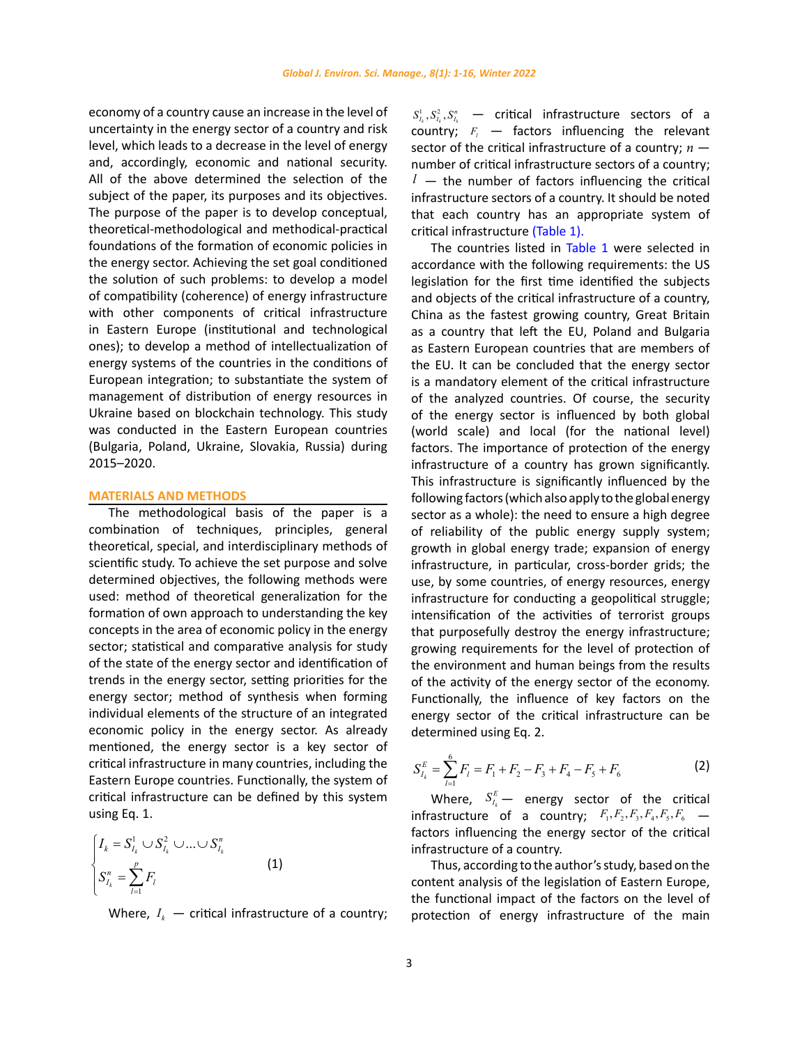economy of a country cause an increase in the level of uncertainty in the energy sector of a country and risk level, which leads to a decrease in the level of energy and, accordingly, economic and national security. All of the above determined the selection of the subject of the paper, its purposes and its objectives. The purpose of the paper is to develop conceptual, theoretical-methodological and methodical-practical foundations of the formation of economic policies in the energy sector. Achieving the set goal conditioned the solution of such problems: to develop a model of compatibility (coherence) of energy infrastructure with other components of critical infrastructure in Eastern Europe (institutional and technological ones); to develop a method of intellectualization of energy systems of the countries in the conditions of European integration; to substantiate the system of management of distribution of energy resources in Ukraine based on blockchain technology. This study was conducted in the Eastern European countries (Bulgaria, Poland, Ukraine, Slovakia, Russia) during 2015–2020.

## **MATERIALS AND METHODS**

The methodological basis of the paper is a combination of techniques, principles, general theoretical, special, and interdisciplinary methods of scientific study. To achieve the set purpose and solve determined objectives, the following methods were used: method of theoretical generalization for the formation of own approach to understanding the key concepts in the area of economic policy in the energy sector; statistical and comparative analysis for study of the state of the energy sector and identification of trends in the energy sector, setting priorities for the energy sector; method of synthesis when forming individual elements of the structure of an integrated economic policy in the energy sector. As already mentioned, the energy sector is a key sector of critical infrastructure in many countries, including the Eastern Europe countries. Functionally, the system of critical infrastructure can be defined by this system using Eq. 1.

$$
\begin{cases}\nI_k = S_{I_k}^1 \cup S_{I_k}^2 \cup ... \cup S_{I_k}^n \\
S_{I_k}^n = \sum_{l=1}^p F_l\n\end{cases}
$$
\n(1)

Where,  $I_k$  — critical infrastructure of a country;

 $S_{I_k}^1, S_{I_k}^2, S_{I_k}^n$  — critical infrastructure sectors of a  $\overrightarrow{\text{country}}$ ;  $F_l$  — factors influencing the relevant sector of the critical infrastructure of a country; *n*  number of critical infrastructure sectors of a country;  $l -$  the number of factors influencing the critical infrastructure sectors of a country. It should be noted that each country has an appropriate system of critical infrastructure [\(Table](#page-3-0) 1).

The countries listed in [Table](#page-3-0) 1 were selected in accordance with the following requirements: the US legislation for the first time identified the subjects and objects of the critical infrastructure of a country, China as the fastest growing country, Great Britain as a country that left the EU, Poland and Bulgaria as Eastern European countries that are members of the EU. It can be concluded that the energy sector is a mandatory element of the critical infrastructure of the analyzed countries. Of course, the security of the energy sector is influenced by both global (world scale) and local (for the national level) factors. The importance of protection of the energy infrastructure of a country has grown significantly. This infrastructure is significantly influenced by the following factors (which also apply to the global energy sector as a whole): the need to ensure a high degree of reliability of the public energy supply system; growth in global energy trade; expansion of energy infrastructure, in particular, cross-border grids; the use, by some countries, of energy resources, energy infrastructure for conducting a geopolitical struggle; intensification of the activities of terrorist groups that purposefully destroy the energy infrastructure; growing requirements for the level of protection of the environment and human beings from the results of the activity of the energy sector of the economy. Functionally, the influence of key factors on the energy sector of the critical infrastructure can be determined using Eq. 2.

$$
S_{I_k}^E = \sum_{l=1}^6 F_l = F_1 + F_2 - F_3 + F_4 - F_5 + F_6
$$
 (2)

Where,  $S_{I_k}^E$  energy sector of the critical infrastructure of a country;  $F_1, F_2, F_3, F_4, F_5, F_6$  factors influencing the energy sector of the critical infrastructure of a country.

f a country; *protection of energy infrastructure of the main* Thus, according to the author's study, based on the content analysis of the legislation of Eastern Europe, the functional impact of the factors on the level of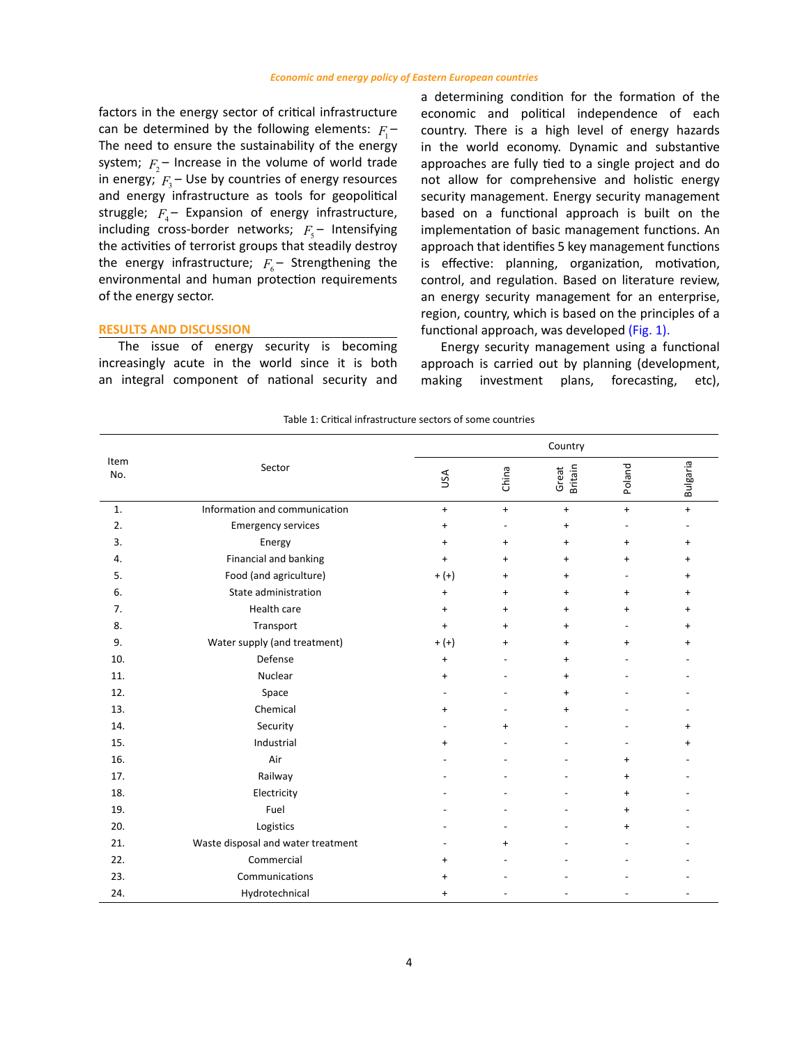<span id="page-3-0"></span>factors in the energy sector of critical infrastructure can be determined by the following elements:  $F_1$  – The need to ensure the sustainability of the energy system;  $F_2$  – Increase in the volume of world trade in energy;  $F_3$  – Use by countries of energy resources and energy infrastructure as tools for geopolitical struggle;  $F_{4}$  – Expansion of energy infrastructure, including cross-border networks;  $F<sub>s</sub>$  – Intensifying the activities of terrorist groups that steadily destroy the energy infrastructure;  $F_6$  – Strengthening the environmental and human protection requirements of the energy sector.

### **RESULTS AND DISCUSSION**

The issue of energy security is becoming increasingly acute in the world since it is both an integral component of national security and

a determining condition for the formation of the economic and political independence of each country. There is a high level of energy hazards in the world economy. Dynamic and substantive approaches are fully tied to a single project and do not allow for comprehensive and holistic energy security management. Energy security management based on a functional approach is built on the implementation of basic management functions. An approach that identifies 5 key management functions is effective: planning, organization, motivation, control, and regulation. Based on literature review, an energy security management for an enterprise, region, country, which is based on the principles of a functional approach, was developed [\(Fig. 1\)](#page-4-0).

Energy security management using a functional approach is carried out by planning (development, making investment plans, forecasting, etc),

| Table 1: Critical infrastructure sectors of some countries |  |
|------------------------------------------------------------|--|

|             |                                    | Country   |           |                         |           |           |
|-------------|------------------------------------|-----------|-----------|-------------------------|-----------|-----------|
| Item<br>No. | Sector                             | USA       | China     | <b>Britain</b><br>Great | Poland    | Bulgaria  |
| 1.          | Information and communication      | $\ddot{}$ | $\ddot{}$ | $\ddot{}$               | $\ddot{}$ | $\ddot{}$ |
| 2.          | <b>Emergency services</b>          | $\ddot{}$ |           | $\ddot{}$               | $\sim$    |           |
| 3.          | Energy                             | $\ddot{}$ | $\ddot{}$ | $\ddot{}$               | $\ddot{}$ | $\ddot{}$ |
| 4.          | Financial and banking              | $\ddot{}$ | $\ddot{}$ | $\ddot{}$               | $\ddot{}$ | $\ddot{}$ |
| 5.          | Food (and agriculture)             | $+ (+)$   | $\ddot{}$ | $\ddot{}$               |           | +         |
| 6.          | State administration               | $\ddot{}$ | $\ddot{}$ | $\ddot{}$               | $\ddot{}$ | +         |
| 7.          | Health care                        | $\ddot{}$ | $\ddot{}$ | $\ddot{}$               | $\ddot{}$ | $\ddot{}$ |
| 8.          | Transport                          | $\ddot{}$ | $\ddot{}$ | $\ddot{}$               |           | $\ddot{}$ |
| 9.          | Water supply (and treatment)       | $+ (+)$   | $\ddot{}$ | $\ddot{}$               | $\ddot{}$ | $\ddot{}$ |
| 10.         | Defense                            | $\ddot{}$ |           | $\ddot{}$               |           |           |
| 11.         | Nuclear                            | $\ddot{}$ |           | $\ddot{}$               |           |           |
| 12.         | Space                              |           |           | +                       |           |           |
| 13.         | Chemical                           | $\ddot{}$ |           | $\ddot{}$               |           |           |
| 14.         | Security                           |           | $\ddot{}$ |                         |           | $\ddot{}$ |
| 15.         | Industrial                         | $\ddot{}$ |           |                         |           |           |
| 16.         | Air                                |           |           |                         | $\ddot{}$ |           |
| 17.         | Railway                            |           |           |                         | $\ddot{}$ |           |
| 18.         | Electricity                        |           |           |                         | $\ddot{}$ |           |
| 19.         | Fuel                               |           |           |                         | $\ddot{}$ |           |
| 20.         | Logistics                          |           |           |                         | $\ddot{}$ |           |
| 21.         | Waste disposal and water treatment |           | $\ddot{}$ |                         |           |           |
| 22.         | Commercial                         | $\ddot{}$ |           |                         |           |           |
| 23.         | Communications                     | $\ddot{}$ |           |                         |           |           |
| 24.         | Hydrotechnical                     | $\pmb{+}$ |           |                         |           |           |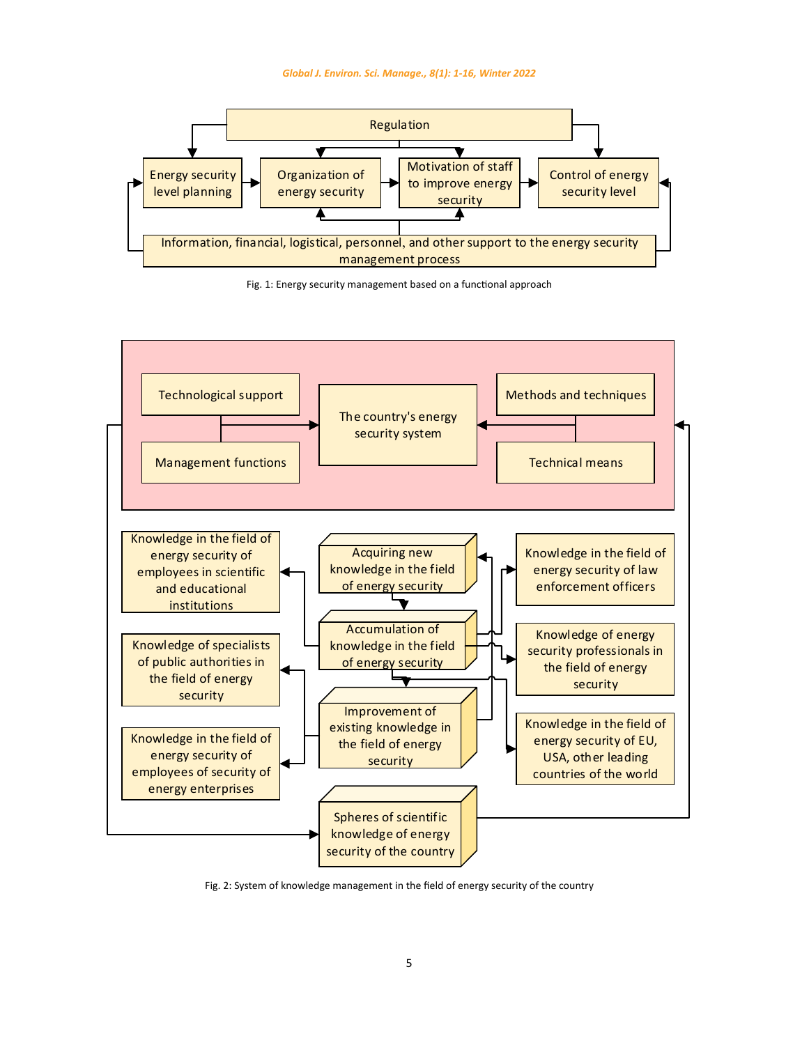<span id="page-4-0"></span>





Fig. 2: System of knowledge management in the field of energy security of the country Fig. 2: System of knowledge management in the field of energy security of the country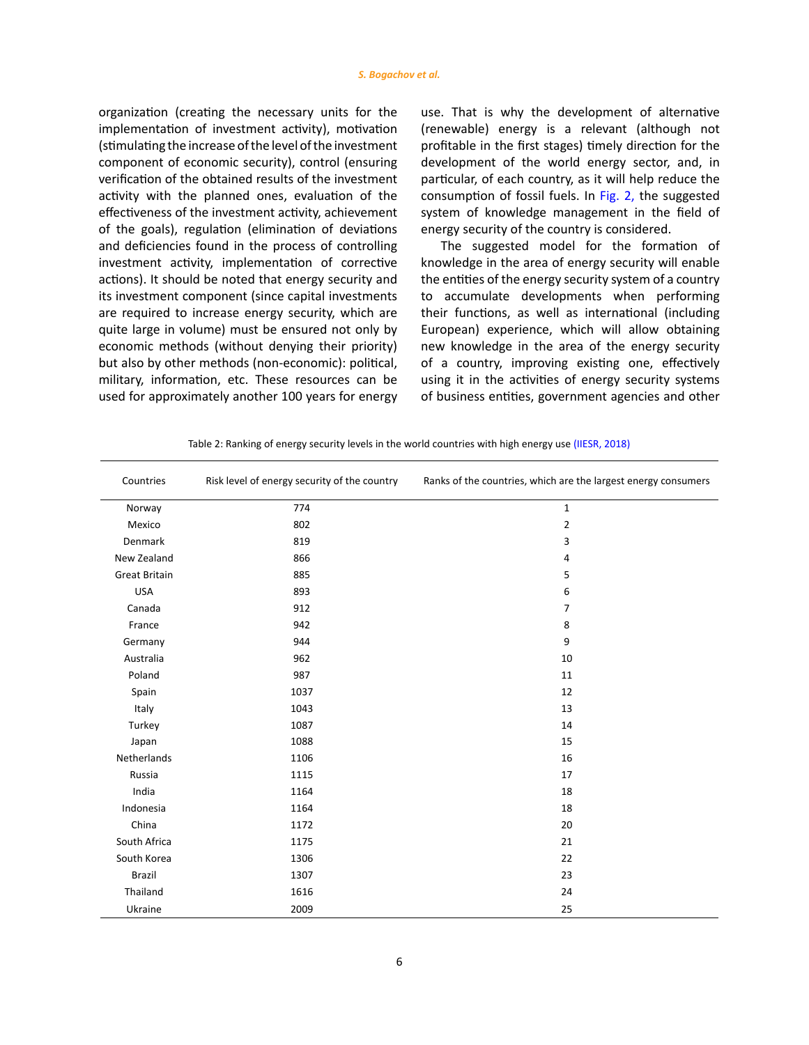<span id="page-5-0"></span>organization (creating the necessary units for the implementation of investment activity), motivation (stimulating the increase of the level of the investment component of economic security), control (ensuring verification of the obtained results of the investment activity with the planned ones, evaluation of the effectiveness of the investment activity, achievement of the goals), regulation (elimination of deviations and deficiencies found in the process of controlling investment activity, implementation of corrective actions). It should be noted that energy security and its investment component (since capital investments are required to increase energy security, which are quite large in volume) must be ensured not only by economic methods (without denying their priority) but also by other methods (non-economic): political, military, information, etc. These resources can be used for approximately another 100 years for energy use. That is why the development of alternative (renewable) energy is a relevant (although not profitable in the first stages) timely direction for the development of the world energy sector, and, in particular, of each country, as it will help reduce the consumption of fossil fuels. In [Fig. 2,](#page-4-0) the suggested system of knowledge management in the field of energy security of the country is considered.

The suggested model for the formation of knowledge in the area of energy security will enable the entities of the energy security system of a country to accumulate developments when performing their functions, as well as international (including European) experience, which will allow obtaining new knowledge in the area of the energy security of a country, improving existing one, effectively using it in the activities of energy security systems of business entities, government agencies and other

| Countries            | Risk level of energy security of the country | Ranks of the countries, which are the largest energy consumers |
|----------------------|----------------------------------------------|----------------------------------------------------------------|
| Norway               | 774                                          | $\mathbf{1}$                                                   |
| Mexico               | 802                                          | $\overline{2}$                                                 |
| Denmark              | 819                                          | 3                                                              |
| New Zealand          | 866                                          | 4                                                              |
| <b>Great Britain</b> | 885                                          | 5                                                              |
| <b>USA</b>           | 893                                          | 6                                                              |
| Canada               | 912                                          | $\overline{7}$                                                 |
| France               | 942                                          | 8                                                              |
| Germany              | 944                                          | 9                                                              |
| Australia            | 962                                          | 10                                                             |
| Poland               | 987                                          | 11                                                             |
| Spain                | 1037                                         | 12                                                             |
| Italy                | 1043                                         | 13                                                             |
| Turkey               | 1087                                         | 14                                                             |
| Japan                | 1088                                         | 15                                                             |
| Netherlands          | 1106                                         | 16                                                             |
| Russia               | 1115                                         | 17                                                             |
| India                | 1164                                         | 18                                                             |
| Indonesia            | 1164                                         | 18                                                             |
| China                | 1172                                         | 20                                                             |
| South Africa         | 1175                                         | 21                                                             |
| South Korea          | 1306                                         | 22                                                             |
| <b>Brazil</b>        | 1307                                         | 23                                                             |
| Thailand             | 1616                                         | 24                                                             |
| Ukraine              | 2009                                         | 25                                                             |

Table 2: Ranking of energy security levels in the world countries with high energy use (IIESR, 2018)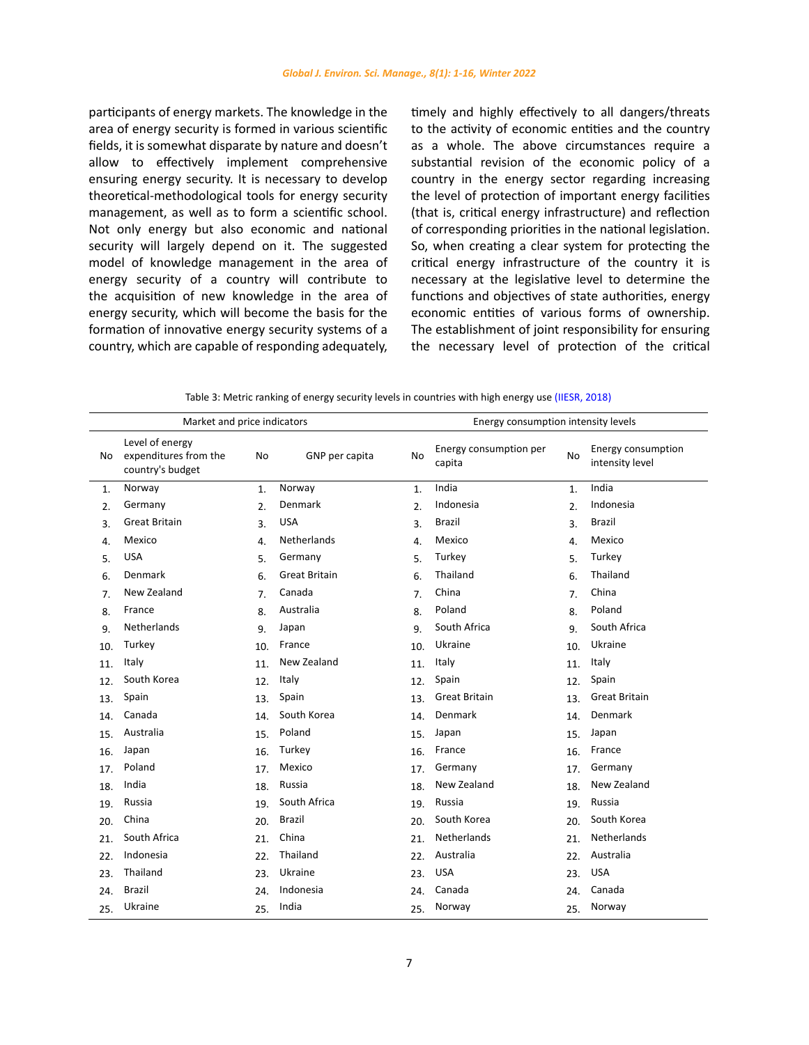<span id="page-6-0"></span>participants of energy markets. The knowledge in the area of energy security is formed in various scientific fields, it is somewhat disparate by nature and doesn't allow to effectively implement comprehensive ensuring energy security. It is necessary to develop theoretical-methodological tools for energy security management, as well as to form a scientific school. Not only energy but also economic and national security will largely depend on it. The suggested model of knowledge management in the area of energy security of a country will contribute to the acquisition of new knowledge in the area of energy security, which will become the basis for the formation of innovative energy security systems of a country, which are capable of responding adequately,

timely and highly effectively to all dangers/threats to the activity of economic entities and the country as a whole. The above circumstances require a substantial revision of the economic policy of a country in the energy sector regarding increasing the level of protection of important energy facilities (that is, critical energy infrastructure) and reflection of corresponding priorities in the national legislation. So, when creating a clear system for protecting the critical energy infrastructure of the country it is necessary at the legislative level to determine the functions and objectives of state authorities, energy economic entities of various forms of ownership. The establishment of joint responsibility for ensuring the necessary level of protection of the critical

|     | Market and price indicators                                  |           |                      | Energy consumption intensity levels |                                  |                  |                                       |  |
|-----|--------------------------------------------------------------|-----------|----------------------|-------------------------------------|----------------------------------|------------------|---------------------------------------|--|
| No. | Level of energy<br>expenditures from the<br>country's budget | <b>No</b> | GNP per capita       | N <sub>0</sub>                      | Energy consumption per<br>capita | No               | Energy consumption<br>intensity level |  |
| 1.  | Norway                                                       | 1.        | Norway               | $\mathbf{1}$ .                      | India                            | $\mathbf{1}$     | India                                 |  |
| 2.  | Germany                                                      | 2.        | Denmark              | 2.                                  | Indonesia                        | 2.               | Indonesia                             |  |
| 3.  | <b>Great Britain</b>                                         | 3.        | <b>USA</b>           | 3.                                  | Brazil                           | $\overline{3}$ . | Brazil                                |  |
| 4.  | Mexico                                                       | 4.        | Netherlands          | 4.                                  | Mexico                           | $\overline{4}$ . | Mexico                                |  |
| 5.  | <b>USA</b>                                                   | 5.        | Germany              | 5.                                  | Turkey                           | 5.               | Turkey                                |  |
| 6.  | Denmark                                                      | 6.        | <b>Great Britain</b> | 6.                                  | Thailand                         | 6.               | Thailand                              |  |
| 7.  | New Zealand                                                  | 7.        | Canada               | 7.                                  | China                            | 7.               | China                                 |  |
| 8.  | France                                                       | 8.        | Australia            | 8.                                  | Poland                           | 8.               | Poland                                |  |
| 9.  | Netherlands                                                  | 9.        | Japan                | 9.                                  | South Africa                     | 9.               | South Africa                          |  |
| 10. | Turkey                                                       | 10.       | France               | 10.                                 | Ukraine                          | 10.              | Ukraine                               |  |
| 11. | Italy                                                        | 11.       | New Zealand          | 11.                                 | Italy                            | 11.              | Italy                                 |  |
| 12. | South Korea                                                  | 12.       | Italy                | 12.                                 | Spain                            | 12.              | Spain                                 |  |
| 13. | Spain                                                        | 13.       | Spain                | 13.                                 | <b>Great Britain</b>             | 13.              | <b>Great Britain</b>                  |  |
| 14. | Canada                                                       | 14.       | South Korea          | 14.                                 | Denmark                          | 14.              | Denmark                               |  |
| 15. | Australia                                                    | 15.       | Poland               | 15.                                 | Japan                            | 15.              | Japan                                 |  |
| 16. | Japan                                                        | 16.       | Turkey               | 16.                                 | France                           | 16.              | France                                |  |
| 17. | Poland                                                       | 17.       | Mexico               | 17.                                 | Germany                          | 17.              | Germany                               |  |
| 18. | India                                                        | 18.       | Russia               | 18.                                 | New Zealand                      | 18.              | New Zealand                           |  |
| 19. | Russia                                                       | 19.       | South Africa         | 19.                                 | Russia                           | 19.              | Russia                                |  |
| 20. | China                                                        | 20.       | <b>Brazil</b>        | 20.                                 | South Korea                      | 20.              | South Korea                           |  |
| 21. | South Africa                                                 | 21.       | China                | 21.                                 | Netherlands                      | 21.              | Netherlands                           |  |
| 22. | Indonesia                                                    | 22.       | Thailand             | 22.                                 | Australia                        | 22.              | Australia                             |  |
| 23. | Thailand                                                     | 23.       | Ukraine              | 23.                                 | <b>USA</b>                       | 23.              | <b>USA</b>                            |  |
| 24. | <b>Brazil</b>                                                | 24.       | Indonesia            | 24                                  | Canada                           | 24.              | Canada                                |  |
| 25. | Ukraine                                                      | 25.       | India                | 25.                                 | Norway                           | 25.              | Norway                                |  |

Table 3: Metric ranking of energy security levels in countries with high energy use (IIESR, 2018)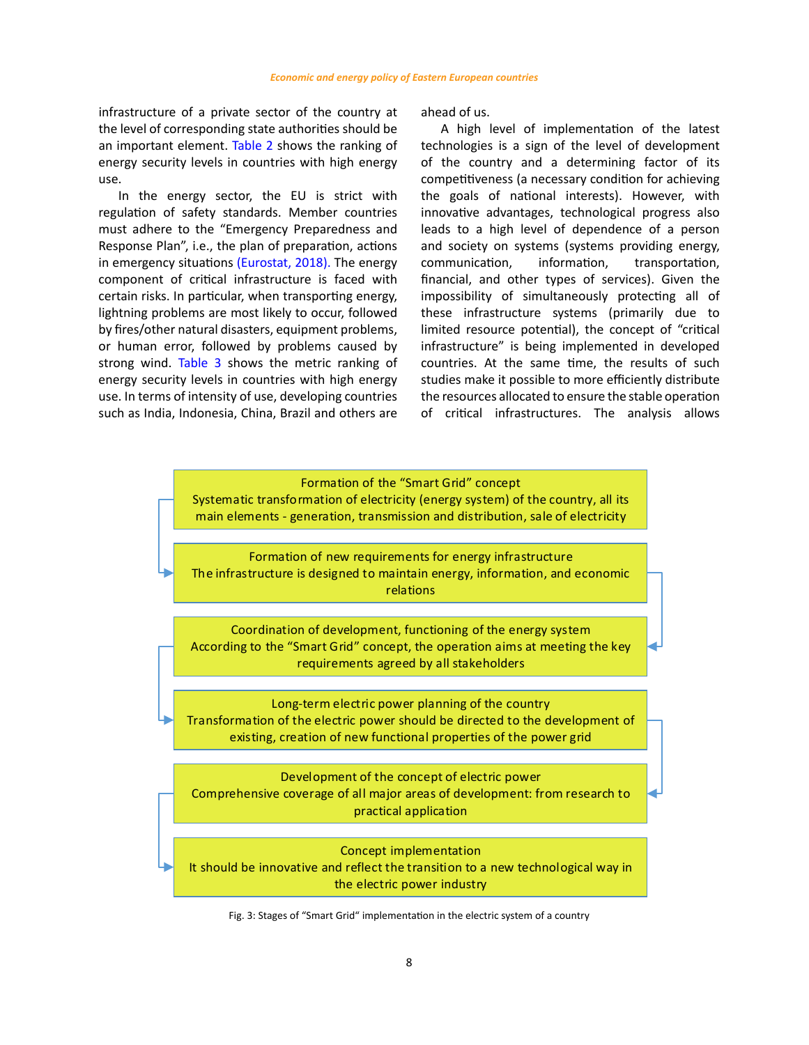<span id="page-7-0"></span>infrastructure of a private sector of the country at the level of corresponding state authorities should be an important element. [Table](#page-5-0) 2 shows the ranking of energy security levels in countries with high energy use.

In the energy sector, the EU is strict with regulation of safety standards. Member countries must adhere to the "Emergency Preparedness and Response Plan", i.e., the plan of preparation, actions in emergency situations [\(Eurostat, 2018\)](#page-14-0). The energy component of critical infrastructure is faced with certain risks. In particular, when transporting energy, lightning problems are most likely to occur, followed by fires/other natural disasters, equipment problems, or human error, followed by problems caused by strong wind. [Table](#page-6-0) 3 shows the metric ranking of energy security levels in countries with high energy use. In terms of intensity of use, developing countries such as India, Indonesia, China, Brazil and others are ahead of us.

A high level of implementation of the latest technologies is a sign of the level of development of the country and a determining factor of its competitiveness (a necessary condition for achieving the goals of national interests). However, with innovative advantages, technological progress also leads to a high level of dependence of a person and society on systems (systems providing energy, communication, information, transportation, financial, and other types of services). Given the impossibility of simultaneously protecting all of these infrastructure systems (primarily due to limited resource potential), the concept of "critical infrastructure" is being implemented in developed countries. At the same time, the results of such studies make it possible to more efficiently distribute the resources allocated to ensure the stable operation of critical infrastructures. The analysis allows

# Formation of the "Smart Grid" concept

Systematic transformation of electricity (energy system) of the country, all its main elements ‐ generation, transmission and distribution, sale of electricity

Formation of new requirements for energy infrastructure The infrastructure is designed to maintain energy, information, and economic relations

Coordination of development, functioning of the energy system According to the "Smart Grid" concept, the operation aims at meeting the key requirements agreed by all stakeholders

Long‐term electric power planning of the country Transformation of the electric power should be directed to the development of existing, creation of new functional properties of the power grid

Development of the concept of electric power Comprehensive coverage of all major areas of development: from research to practical application

Concept implementation

It should be innovative and reflect the transition to a new technological way in the electric power industry

Fig. 3: Stages of "Smart Grid" implementation in the electric system of a country Fig. 3: Stages of "Smart Grid" implementation in the electric system of a country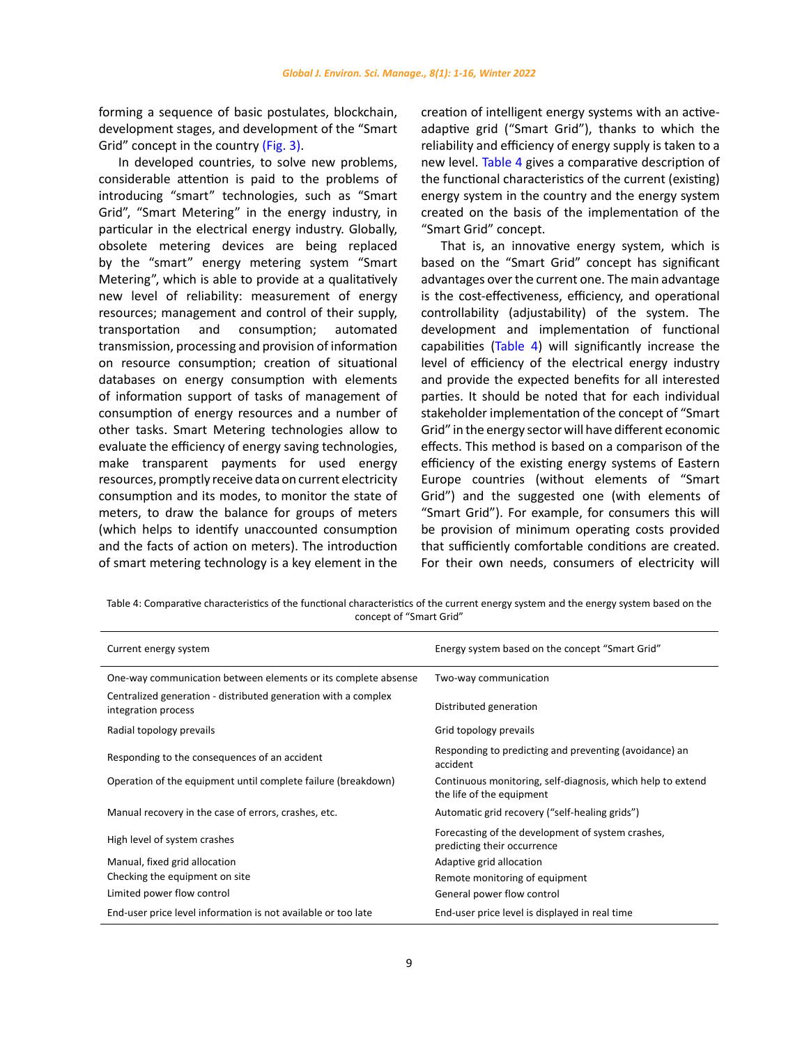forming a sequence of basic postulates, blockchain, development stages, and development of the "Smart Grid" concept in the country [\(Fig.](#page-7-0) 3).

In developed countries, to solve new problems, considerable attention is paid to the problems of introducing "smart" technologies, such as "Smart Grid", "Smart Metering" in the energy industry, in particular in the electrical energy industry. Globally, obsolete metering devices are being replaced by the "smart" energy metering system "Smart Metering", which is able to provide at a qualitatively new level of reliability: measurement of energy resources; management and control of their supply, transportation and consumption; automated transmission, processing and provision of information on resource consumption; creation of situational databases on energy consumption with elements of information support of tasks of management of consumption of energy resources and a number of other tasks. Smart Metering technologies allow to evaluate the efficiency of energy saving technologies, make transparent payments for used energy resources, promptly receive data on current electricity consumption and its modes, to monitor the state of meters, to draw the balance for groups of meters (which helps to identify unaccounted consumption and the facts of action on meters). The introduction of smart metering technology is a key element in the

creation of intelligent energy systems with an activeadaptive grid ("Smart Grid"), thanks to which the reliability and efficiency of energy supply is taken to a new level. Table 4 gives a comparative description of the functional characteristics of the current (existing) energy system in the country and the energy system created on the basis of the implementation of the "Smart Grid" concept.

That is, an innovative energy system, which is based on the "Smart Grid" concept has significant advantages over the current one. The main advantage is the cost-effectiveness, efficiency, and operational controllability (adjustability) of the system. The development and implementation of functional capabilities (Table 4) will significantly increase the level of efficiency of the electrical energy industry and provide the expected benefits for all interested parties. It should be noted that for each individual stakeholder implementation of the concept of "Smart Grid" in the energy sector will have different economic effects. This method is based on a comparison of the efficiency of the existing energy systems of Eastern Europe countries (without elements of "Smart Grid") and the suggested one (with elements of "Smart Grid"). For example, for consumers this will be provision of minimum operating costs provided that sufficiently comfortable conditions are created. For their own needs, consumers of electricity will

Table 4: Comparative characteristics of the functional characteristics of the current energy system and the energy system based on the of "Smart Grid" concept of "Smart Grid"

| Current energy system                                                                 | Energy system based on the concept "Smart Grid"                                          |
|---------------------------------------------------------------------------------------|------------------------------------------------------------------------------------------|
| One-way communication between elements or its complete absense                        | Two-way communication                                                                    |
| Centralized generation - distributed generation with a complex<br>integration process | Distributed generation                                                                   |
| Radial topology prevails                                                              | Grid topology prevails                                                                   |
| Responding to the consequences of an accident                                         | Responding to predicting and preventing (avoidance) an<br>accident                       |
| Operation of the equipment until complete failure (breakdown)                         | Continuous monitoring, self-diagnosis, which help to extend<br>the life of the equipment |
| Manual recovery in the case of errors, crashes, etc.                                  | Automatic grid recovery ("self-healing grids")                                           |
| High level of system crashes                                                          | Forecasting of the development of system crashes,<br>predicting their occurrence         |
| Manual, fixed grid allocation                                                         | Adaptive grid allocation                                                                 |
| Checking the equipment on site                                                        | Remote monitoring of equipment                                                           |
| Limited power flow control                                                            | General power flow control                                                               |
| End-user price level information is not available or too late                         | End-user price level is displayed in real time                                           |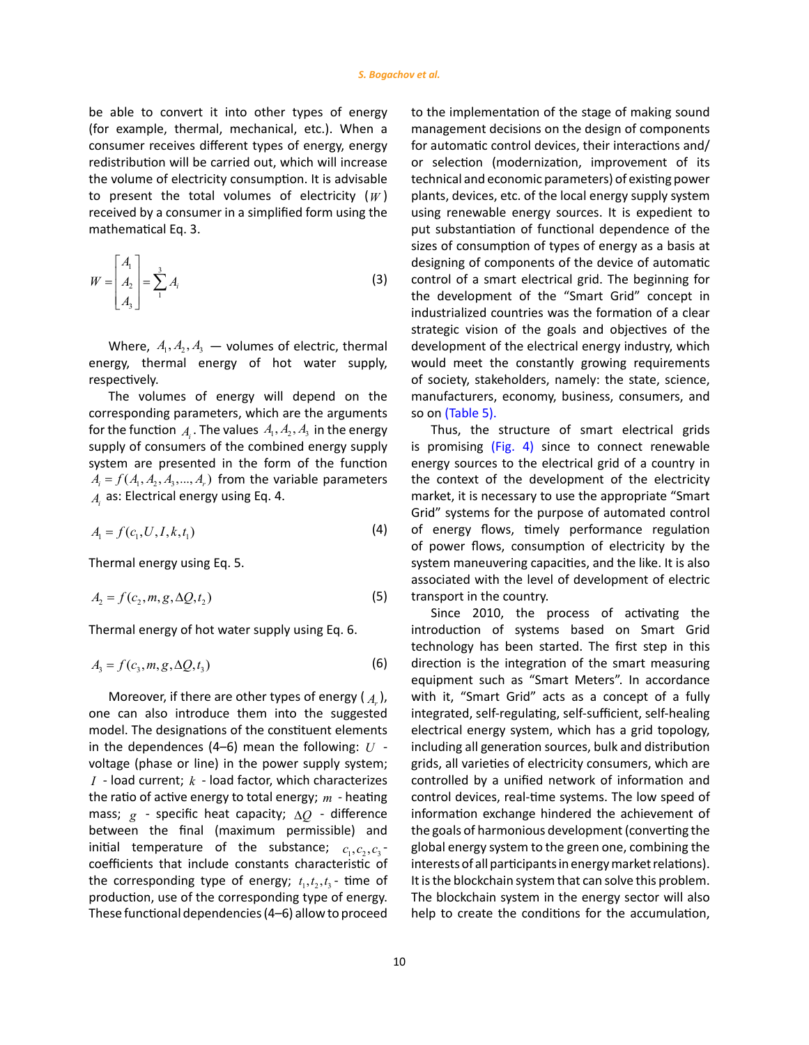be able to convert it into other types of energy (for example, thermal, mechanical, etc.). When a consumer receives different types of energy, energy redistribution will be carried out, which will increase the volume of electricity consumption. It is advisable to present the total volumes of electricity (*W* ) received by a consumer in a simplified form using the mathematical Eq. 3.

$$
W = \begin{bmatrix} A_1 \\ A_2 \\ A_3 \end{bmatrix} = \sum_{1}^{3} A_i
$$
 (3)

Where,  $A_1, A_2, A_3$  – volumes of electric, thermal energy, thermal energy of hot water supply, respectively.

The volumes of energy will depend on the corresponding parameters, which are the arguments for the function  $A_i$ . The values  $A_1, A_2, A_3$  in the energy supply of consumers of the combined energy supply system are presented in the form of the function  $A_i = f(A_1, A_2, A_3, \dots, A_r)$  from the variable parameters  $A_i$  as: Electrical energy using Eq. 4.

$$
A_1 = f(c_1, U, I, k, t_1) \tag{4}
$$

Thermal energy using Eq. 5.

$$
A_2 = f(c_2, m, g, \Delta Q, t_2)
$$
\n<sup>(5)</sup>

Thermal energy of hot water supply using Eq. 6.

$$
A_3 = f(c_3, m, g, \Delta Q, t_3)
$$
 (6)

Moreover, if there are other types of energy  $(A_n)$ , one can also introduce them into the suggested model. The designations of the constituent elements in the dependences (4–6) mean the following: *U* voltage (phase or line) in the power supply system; *I* - load current; *k* - load factor, which characterizes the ratio of active energy to total energy; *m* - heating mass; *g* - specific heat capacity; ∆*Q* - difference between the final (maximum permissible) and initial temperature of the substance;  $c_1, c_2, c_3$ coefficients that include constants characteristic of the corresponding type of energy;  $t_1, t_2, t_3$  - time of production, use of the corresponding type of energy. These functional dependencies (4–6) allow to proceed

to the implementation of the stage of making sound management decisions on the design of components for automatic control devices, their interactions and/ or selection (modernization, improvement of its technical and economic parameters) of existing power plants, devices, etc. of the local energy supply system using renewable energy sources. It is expedient to put substantiation of functional dependence of the sizes of consumption of types of energy as a basis at designing of components of the device of automatic control of a smart electrical grid. The beginning for the development of the "Smart Grid" concept in industrialized countries was the formation of a clear strategic vision of the goals and objectives of the development of the electrical energy industry, which would meet the constantly growing requirements of society, stakeholders, namely: the state, science, manufacturers, economy, business, consumers, and so on [\(Table](#page-10-0) 5).

Thus, the structure of smart electrical grids is promising [\(Fig.](#page-11-0) 4) since to connect renewable energy sources to the electrical grid of a country in the context of the development of the electricity market, it is necessary to use the appropriate "Smart Grid" systems for the purpose of automated control of energy flows, timely performance regulation of power flows, consumption of electricity by the system maneuvering capacities, and the like. It is also associated with the level of development of electric transport in the country.

Since 2010, the process of activating the introduction of systems based on Smart Grid technology has been started. The first step in this direction is the integration of the smart measuring equipment such as "Smart Meters". In accordance with it, "Smart Grid" acts as a concept of a fully integrated, self-regulating, self-sufficient, self-healing electrical energy system, which has a grid topology, including all generation sources, bulk and distribution grids, all varieties of electricity consumers, which are controlled by a unified network of information and control devices, real-time systems. The low speed of information exchange hindered the achievement of the goals of harmonious development (converting the global energy system to the green one, combining the interests of all participants in energy market relations). It is the blockchain system that can solve this problem. The blockchain system in the energy sector will also help to create the conditions for the accumulation,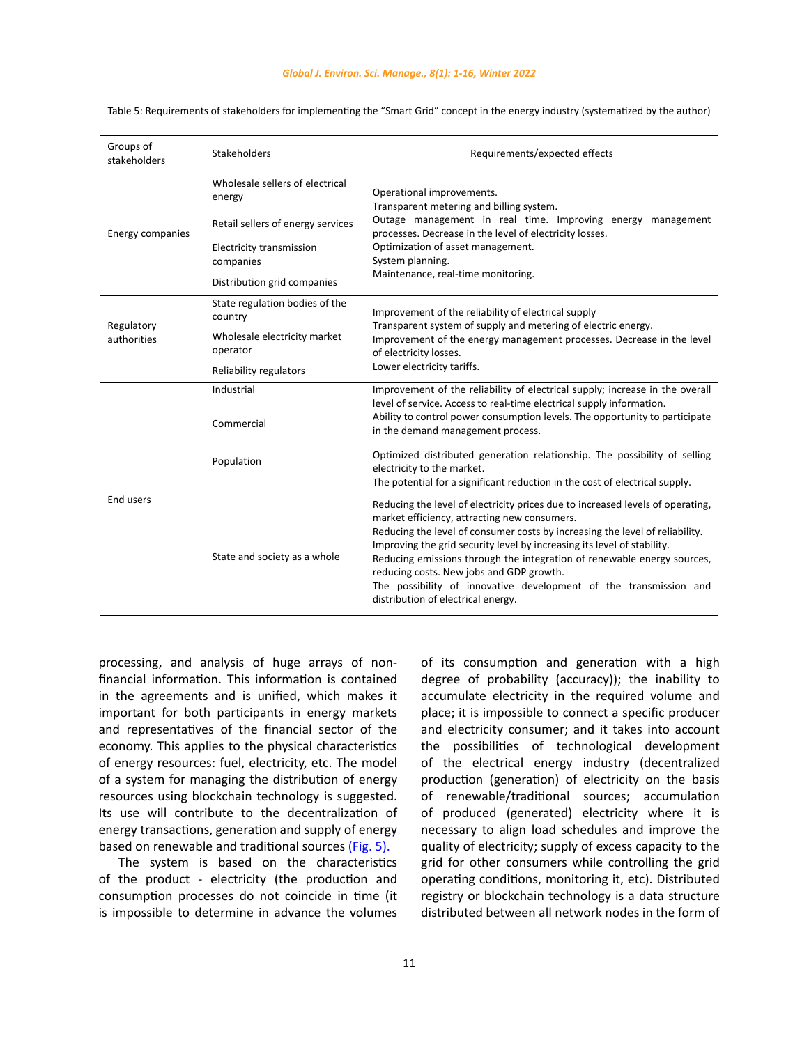| Groups of<br>stakeholders | Stakeholders                                 | Requirements/expected effects                                                                                                                                                                                                                                                                                                                                                                                                                                                                                               |  |  |
|---------------------------|----------------------------------------------|-----------------------------------------------------------------------------------------------------------------------------------------------------------------------------------------------------------------------------------------------------------------------------------------------------------------------------------------------------------------------------------------------------------------------------------------------------------------------------------------------------------------------------|--|--|
|                           | Wholesale sellers of electrical<br>energy    | Operational improvements.<br>Transparent metering and billing system.                                                                                                                                                                                                                                                                                                                                                                                                                                                       |  |  |
| <b>Energy companies</b>   | Retail sellers of energy services            | Outage management in real time. Improving energy management<br>processes. Decrease in the level of electricity losses.                                                                                                                                                                                                                                                                                                                                                                                                      |  |  |
|                           | <b>Electricity transmission</b><br>companies | Optimization of asset management.<br>System planning.                                                                                                                                                                                                                                                                                                                                                                                                                                                                       |  |  |
|                           | Distribution grid companies                  | Maintenance, real-time monitoring.                                                                                                                                                                                                                                                                                                                                                                                                                                                                                          |  |  |
| Regulatory                | State regulation bodies of the<br>country    | Improvement of the reliability of electrical supply<br>Transparent system of supply and metering of electric energy.                                                                                                                                                                                                                                                                                                                                                                                                        |  |  |
| authorities               | Wholesale electricity market<br>operator     | Improvement of the energy management processes. Decrease in the level<br>of electricity losses.                                                                                                                                                                                                                                                                                                                                                                                                                             |  |  |
|                           | Reliability regulators                       | Lower electricity tariffs.                                                                                                                                                                                                                                                                                                                                                                                                                                                                                                  |  |  |
|                           | Industrial                                   | Improvement of the reliability of electrical supply; increase in the overall                                                                                                                                                                                                                                                                                                                                                                                                                                                |  |  |
|                           | Commercial                                   | level of service. Access to real-time electrical supply information.<br>Ability to control power consumption levels. The opportunity to participate<br>in the demand management process.                                                                                                                                                                                                                                                                                                                                    |  |  |
|                           | Population                                   | Optimized distributed generation relationship. The possibility of selling<br>electricity to the market.<br>The potential for a significant reduction in the cost of electrical supply.                                                                                                                                                                                                                                                                                                                                      |  |  |
| End users                 | State and society as a whole                 | Reducing the level of electricity prices due to increased levels of operating,<br>market efficiency, attracting new consumers.<br>Reducing the level of consumer costs by increasing the level of reliability.<br>Improving the grid security level by increasing its level of stability.<br>Reducing emissions through the integration of renewable energy sources,<br>reducing costs. New jobs and GDP growth.<br>The possibility of innovative development of the transmission and<br>distribution of electrical energy. |  |  |

<span id="page-10-0"></span>Table 5: Requirements of stakeholders for implementing the "Smart Grid" concept in the energy industry (systematized by the author)

processing, and analysis of huge arrays of nonfinancial information. This information is contained in the agreements and is unified, which makes it important for both participants in energy markets and representatives of the financial sector of the economy. This applies to the physical characteristics of energy resources: fuel, electricity, etc. The model of a system for managing the distribution of energy resources using blockchain technology is suggested. Its use will contribute to the decentralization of energy transactions, generation and supply of energy based on renewable and traditional sources [\(Fig.](#page-11-0) 5).

The system is based on the characteristics of the product - electricity (the production and consumption processes do not coincide in time (it is impossible to determine in advance the volumes of its consumption and generation with a high degree of probability (accuracy)); the inability to accumulate electricity in the required volume and place; it is impossible to connect a specific producer and electricity consumer; and it takes into account the possibilities of technological development of the electrical energy industry (decentralized production (generation) of electricity on the basis of renewable/traditional sources; accumulation of produced (generated) electricity where it is necessary to align load schedules and improve the quality of electricity; supply of excess capacity to the grid for other consumers while controlling the grid operating conditions, monitoring it, etc). Distributed registry or blockchain technology is a data structure distributed between all network nodes in the form of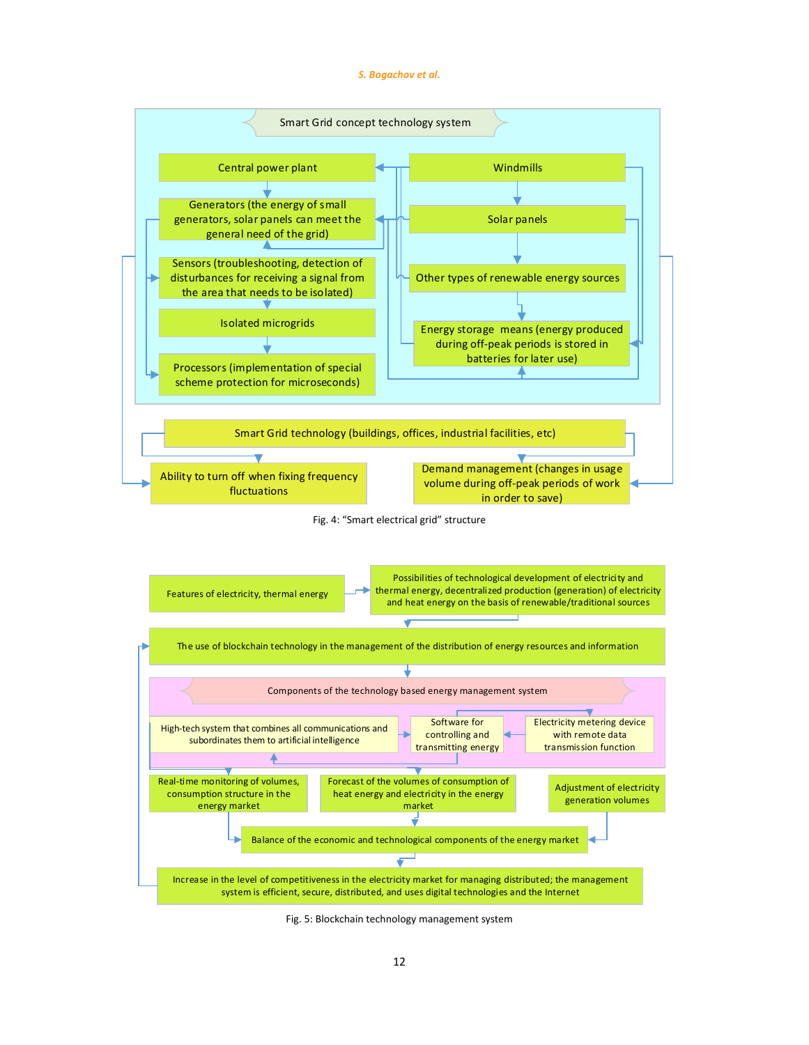#### *S. Bogachov et al.*

<span id="page-11-0"></span>

 $\mathbf{F}_{\mathbf{S}}$ Fig. 5: Blockchain technology management system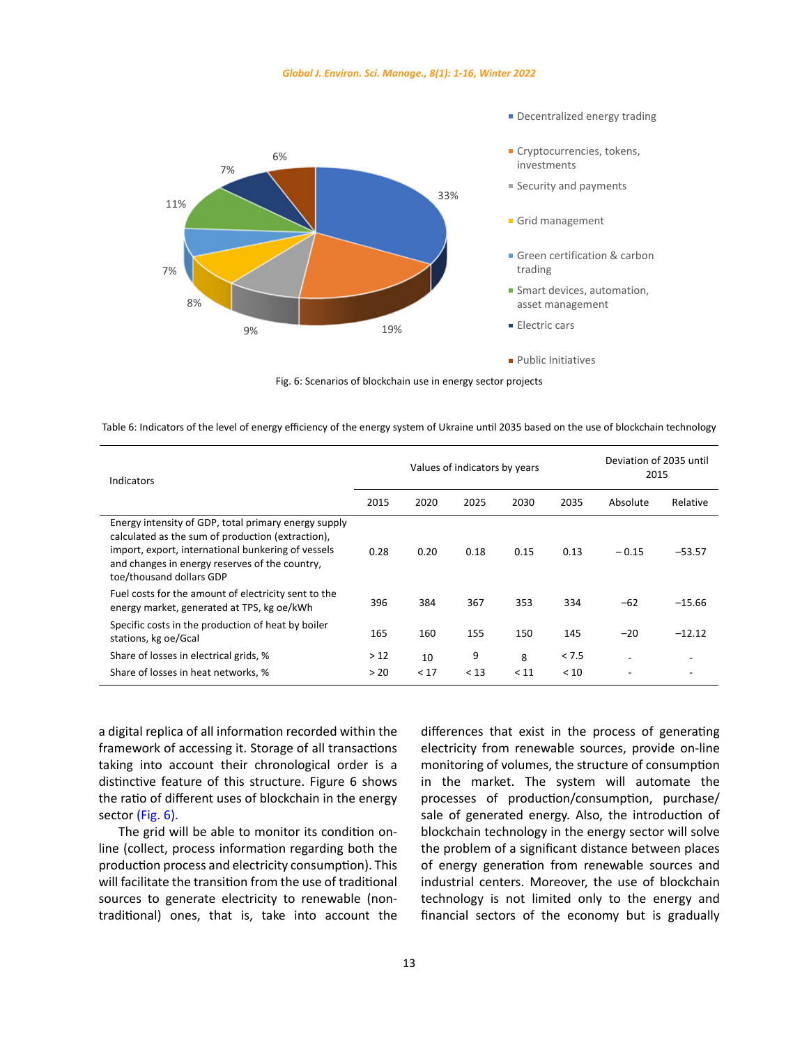<span id="page-12-0"></span>

Fig. 6: Scenarios of blockchain use in energy sector projects

| Indicators                                                                                                                                                                                                                                    | Values of indicators by years |      |      |      |       | Deviation of 2035 until<br>2015 |          |
|-----------------------------------------------------------------------------------------------------------------------------------------------------------------------------------------------------------------------------------------------|-------------------------------|------|------|------|-------|---------------------------------|----------|
|                                                                                                                                                                                                                                               | 2015                          | 2020 | 2025 | 2030 | 2035  | Absolute                        | Relative |
| Energy intensity of GDP, total primary energy supply<br>calculated as the sum of production (extraction),<br>import, export, international bunkering of vessels<br>and changes in energy reserves of the country,<br>toe/thousand dollars GDP | 0.28                          | 0.20 | 0.18 | 0.15 | 0.13  | $-0.15$                         | $-53.57$ |
| Fuel costs for the amount of electricity sent to the<br>energy market, generated at TPS, kg oe/kWh                                                                                                                                            | 396                           | 384  | 367  | 353  | 334   | $-62$                           | $-15.66$ |
| Specific costs in the production of heat by boiler<br>stations, kg oe/Gcal                                                                                                                                                                    | 165                           | 160  | 155  | 150  | 145   | $-20$                           | $-12.12$ |
| Share of losses in electrical grids, %                                                                                                                                                                                                        | >12                           | 10   | 9    | 8    | < 7.5 | $\overline{\phantom{0}}$        |          |
| Share of losses in heat networks, %                                                                                                                                                                                                           | > 20                          | < 17 | < 13 | < 11 | < 10  |                                 |          |

Table 6: Indicators of the level of energy efficiency of the energy system of Ukraine until 2035 based on the use of blockchain technology

a digital replica of all information recorded within the framework of accessing it. Storage of all transactions taking into account their chronological order is a distinctive feature of this structure. Figure 6 shows the ratio of different uses of blockchain in the energy sector (Fig. 6).

The grid will be able to monitor its condition online (collect, process information regarding both the production process and electricity consumption). This will facilitate the transition from the use of traditional sources to generate electricity to renewable (nontraditional) ones, that is, take into account the differences that exist in the process of generating electricity from renewable sources, provide on-line monitoring of volumes, the structure of consumption in the market. The system will automate the processes of production/consumption, purchase/ sale of generated energy. Also, the introduction of blockchain technology in the energy sector will solve the problem of a significant distance between places of energy generation from renewable sources and industrial centers. Moreover, the use of blockchain technology is not limited only to the energy and financial sectors of the economy but is gradually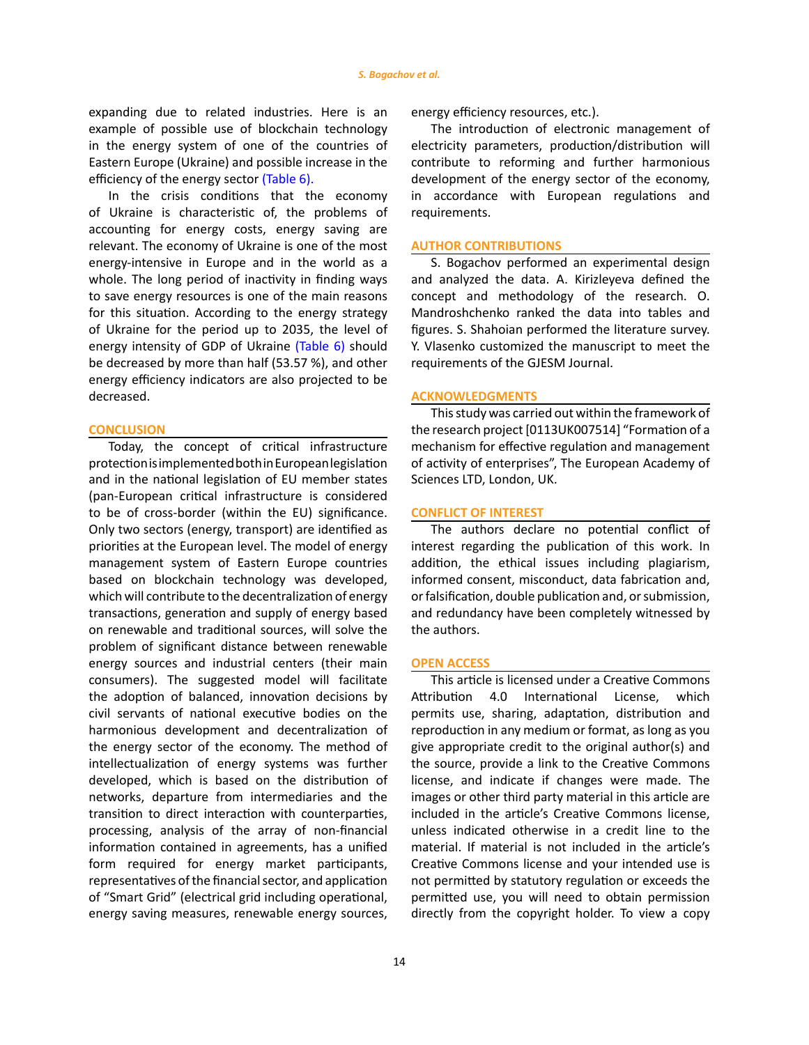expanding due to related industries. Here is an example of possible use of blockchain technology in the energy system of one of the countries of Eastern Europe (Ukraine) and possible increase in the efficiency of the energy sector [\(Table](#page-12-0) 6).

In the crisis conditions that the economy of Ukraine is characteristic of, the problems of accounting for energy costs, energy saving are relevant. The economy of Ukraine is one of the most energy-intensive in Europe and in the world as a whole. The long period of inactivity in finding ways to save energy resources is one of the main reasons for this situation. According to the energy strategy of Ukraine for the period up to 2035, the level of energy intensity of GDP of Ukraine [\(Table](#page-12-0) 6) should be decreased by more than half (53.57 %), and other energy efficiency indicators are also projected to be decreased.

## **CONCLUSION**

Today, the concept of critical infrastructure protection is implemented both in European legislation and in the national legislation of EU member states (pan-European critical infrastructure is considered to be of cross-border (within the EU) significance. Only two sectors (energy, transport) are identified as priorities at the European level. The model of energy management system of Eastern Europe countries based on blockchain technology was developed, which will contribute to the decentralization of energy transactions, generation and supply of energy based on renewable and traditional sources, will solve the problem of significant distance between renewable energy sources and industrial centers (their main consumers). The suggested model will facilitate the adoption of balanced, innovation decisions by civil servants of national executive bodies on the harmonious development and decentralization of the energy sector of the economy. The method of intellectualization of energy systems was further developed, which is based on the distribution of networks, departure from intermediaries and the transition to direct interaction with counterparties, processing, analysis of the array of non-financial information contained in agreements, has a unified form required for energy market participants, representatives of the financial sector, and application of "Smart Grid" (electrical grid including operational, energy saving measures, renewable energy sources,

energy efficiency resources, etc.).

The introduction of electronic management of electricity parameters, production/distribution will contribute to reforming and further harmonious development of the energy sector of the economy, in accordance with European regulations and requirements.

## **AUTHOR CONTRIBUTIONS**

S. Bogachov performed an experimental design and analyzed the data. A. Kirizleyeva defined the concept and methodology of the research. O. Mandroshchenko ranked the data into tables and figures. S. Shahoian performed the literature survey. Y. Vlasenko customized the manuscript to meet the requirements of the GJESM Journal.

#### **ACKNOWLEDGMENTS**

This study was carried out within the framework of the research project [0113UK007514] "Formation of a mechanism for effective regulation and management of activity of enterprises", The European Academy of Sciences LTD, London, UK.

## **CONFLICT OF INTEREST**

The authors declare no potential conflict of interest regarding the publication of this work. In addition, the ethical issues including plagiarism, informed consent, misconduct, data fabrication and, or falsification, double publication and, or submission, and redundancy have been completely witnessed by the authors.

#### **OPEN ACCESS**

This article is licensed under a Creative Commons Attribution 4.0 International License, which permits use, sharing, adaptation, distribution and reproduction in any medium or format, as long as you give appropriate credit to the original author(s) and the source, provide a link to the Creative Commons license, and indicate if changes were made. The images or other third party material in this article are included in the article's Creative Commons license, unless indicated otherwise in a credit line to the material. If material is not included in the article's Creative Commons license and your intended use is not permitted by statutory regulation or exceeds the permitted use, you will need to obtain permission directly from the copyright holder. To view a copy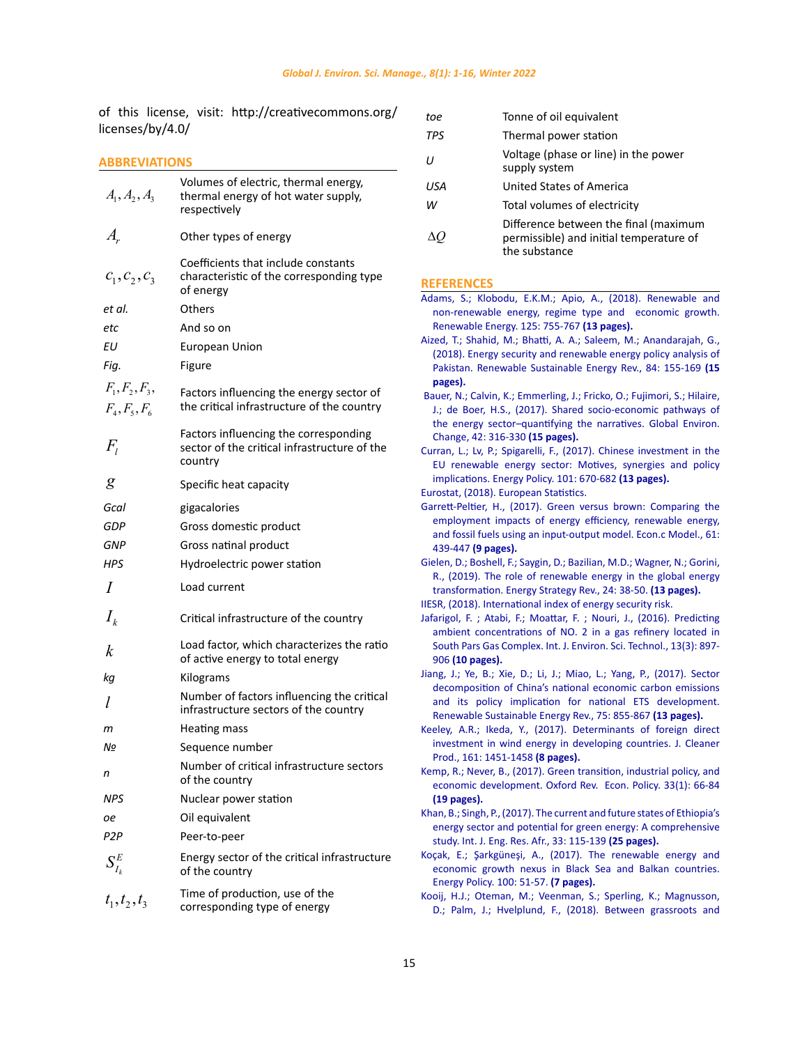<span id="page-14-0"></span>of this license, visit: http://creativecommons.org/ licenses/by/4.0/

# **ABBREVIATIONS**

| $A_1, A_2, A_3$                     | Volumes of electric, thermal energy,<br>thermal energy of hot water supply,<br>respectively      |
|-------------------------------------|--------------------------------------------------------------------------------------------------|
| $A_{\cdot}$                         | Other types of energy                                                                            |
| $c_1, c_2, c_3$                     | Coefficients that include constants<br>characteristic of the corresponding type<br>of energy     |
| et al.                              | Others                                                                                           |
| etc                                 | And so on                                                                                        |
| ΕU                                  | <b>European Union</b>                                                                            |
| Fig.                                | Figure                                                                                           |
| $F_1, F_2, F_3,$<br>$F_4, F_5, F_6$ | Factors influencing the energy sector of<br>the critical infrastructure of the country           |
| $F_{\scriptscriptstyle I}$          | Factors influencing the corresponding<br>sector of the critical infrastructure of the<br>country |
| g                                   | Specific heat capacity                                                                           |
| Gcal                                | gigacalories                                                                                     |
| GDP                                 | Gross domestic product                                                                           |
| GNP                                 | Gross natinal product                                                                            |
| <b>HPS</b>                          | Hydroelectric power station                                                                      |
| $\prime$                            | Load current                                                                                     |
| $I_{k}$                             | Critical infrastructure of the country                                                           |
| k                                   | Load factor, which characterizes the ratio<br>of active energy to total energy                   |
| kg                                  | Kilograms                                                                                        |
| l                                   | Number of factors influencing the critical<br>infrastructure sectors of the country              |
| т                                   | Heating mass                                                                                     |
| Nº                                  | Sequence number                                                                                  |
| n                                   | Number of critical infrastructure sectors<br>of the country                                      |
| NPS                                 | Nuclear power station                                                                            |
| оe                                  | Oil equivalent                                                                                   |
| P <sub>2</sub> P                    | Peer-to-peer                                                                                     |
| $S_{I_k}^E$                         | Energy sector of the critical infrastructure<br>of the country                                   |
| $t_1, t_2, t_3$                     | Time of production, use of the<br>corresponding type of energy                                   |

| toe               | Tonne of oil equivalent                                                                           |
|-------------------|---------------------------------------------------------------------------------------------------|
| <b>TPS</b>        | Thermal power station                                                                             |
| $^{\prime\prime}$ | Voltage (phase or line) in the power<br>supply system                                             |
| USA               | United States of America                                                                          |
| w                 | Total volumes of electricity                                                                      |
|                   | Difference between the final (maximum<br>permissible) and initial temperature of<br>the substance |

# **REFERENCES**

| Adams, S.; Klobodu, E.K.M.; Apio, A., (2018). Renewable and              |
|--------------------------------------------------------------------------|
| non-renewable energy, regime type and economic growth.                   |
| Renewable Energy. 125: 755-767 (13 pages).                               |
| Aized, T.; Shahid, M.; Bhatti, A. A.; Saleem, M.; Anandarajah, G.,       |
| (2018). Energy security and renewable energy policy analysis of          |
| Pakistan. Renewable Sustainable Energy Rev., 84: 155-169 (15             |
| pages).                                                                  |
| Bauer, N.; Calvin, K.; Emmerling, J.; Fricko, O.; Fujimori, S.; Hilaire, |
| J.; de Boer, H.S., (2017). Shared socio-economic pathways of             |
| the energy sector-quantifying the narratives. Global Environ.            |
| Change, 42: 316-330 (15 pages).                                          |
| Curran, L.; Lv, P.; Spigarelli, F., (2017). Chinese investment in the    |
| EU renewable energy sector: Motives, synergies and policy                |
| implications. Energy Policy. 101: 670-682 (13 pages).                    |
| Eurostat, (2018). European Statistics.                                   |
| Garrett-Peltier, H., (2017). Green versus brown: Comparing the           |
| employment impacts of energy efficiency, renewable energy,               |
| and fossil fuels using an input-output model. Econ.c Model., 61:         |
| 439-447 (9 pages).                                                       |
| Gielen, D.; Boshell, F.; Saygin, D.; Bazilian, M.D.; Wagner, N.; Gorini, |
| R., (2019). The role of renewable energy in the global energy            |
| transformation. Energy Strategy Rev., 24: 38-50. (13 pages).             |
| IIESR, (2018). International index of energy security risk.              |
| Jafarigol, F.; Atabi, F.; Moattar, F.; Nouri, J., (2016). Predicting     |
| ambient concentrations of NO. 2 in a gas refinery located in             |
| South Pars Gas Complex. Int. J. Environ. Sci. Technol., 13(3): 897-      |
| 906 (10 pages).                                                          |
| Jiang, J.; Ye, B.; Xie, D.; Li, J.; Miao, L.; Yang, P., (2017). Sector   |
| decomposition of China's national economic carbon emissions              |
| and its policy implication for national ETS development.                 |
| Renewable Sustainable Energy Rev., 75: 855-867 (13 pages).               |
| Keeley, A.R.; Ikeda, Y., (2017). Determinants of foreign direct          |
| investment in wind energy in developing countries. J. Cleaner            |
| Prod., 161: 1451-1458 (8 pages).                                         |
| Kemp, R.; Never, B., (2017). Green transition, industrial policy, and    |
| economic development. Oxford Rev. Econ. Policy. 33(1): 66-84             |
| (19 pages).                                                              |
| Khan, B.; Singh, P., (2017). The current and future states of Ethiopia's |
| energy sector and potential for green energy: A comprehensive            |
| study. Int. J. Eng. Res. Afr., 33: 115-139 (25 pages).                   |
| Koçak, E.; Şarkgüneşi, A., (2017). The renewable energy and              |
| economic growth nexus in Black Sea and Balkan countries.                 |
| Energy Policy. 100: 51-57. (7 pages).                                    |
| Kooij, H.J.; Oteman, M.; Veenman, S.; Sperling, K.; Magnusson,           |
| D.; Palm, J.; Hvelplund, F., (2018). Between grassroots and              |
|                                                                          |